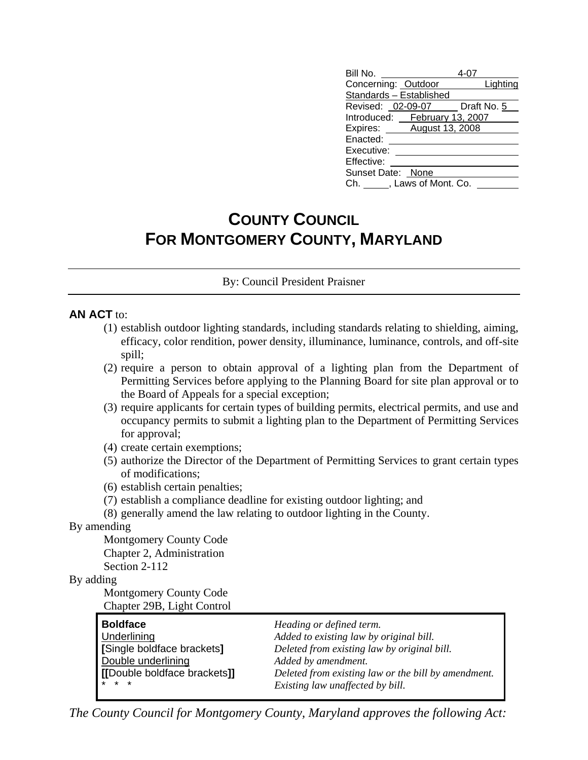| Bill No.                      |          |
|-------------------------------|----------|
| Concerning: Outdoor           | Lighting |
| Standards - Established       |          |
| Revised: 02-09-07 Draft No. 5 |          |
| Introduced: February 13, 2007 |          |
| Expires: August 13, 2008      |          |
| Enacted:                      |          |
| Executive:                    |          |
| Effective:                    |          |
| Sunset Date: None             |          |
| Ch. , Laws of Mont. Co.       |          |

# **COUNTY COUNCIL FOR MONTGOMERY COUNTY, MARYLAND**

By: Council President Praisner

#### **AN ACT** to:

- (1) establish outdoor lighting standards, including standards relating to shielding, aiming, efficacy, color rendition, power density, illuminance, luminance, controls, and off-site spill;
- (2) require a person to obtain approval of a lighting plan from the Department of Permitting Services before applying to the Planning Board for site plan approval or to the Board of Appeals for a special exception;
- (3) require applicants for certain types of building permits, electrical permits, and use and occupancy permits to submit a lighting plan to the Department of Permitting Services for approval;
- (4) create certain exemptions;
- (5) authorize the Director of the Department of Permitting Services to grant certain types of modifications;
- (6) establish certain penalties;
- (7) establish a compliance deadline for existing outdoor lighting; and
- (8) generally amend the law relating to outdoor lighting in the County.

#### By amending

 Montgomery County Code Chapter 2, Administration

Section 2-112

### By adding

 Montgomery County Code Chapter 29B, Light Control

| <b>Boldface</b>             | Heading or defined term.                            |
|-----------------------------|-----------------------------------------------------|
| Underlining                 | Added to existing law by original bill.             |
| [Single boldface brackets]  | Deleted from existing law by original bill.         |
| Double underlining          | Added by amendment.                                 |
| [Double boldface brackets]] | Deleted from existing law or the bill by amendment. |
| $* * *$                     | Existing law unaffected by bill.                    |

*The County Council for Montgomery County, Maryland approves the following Act:*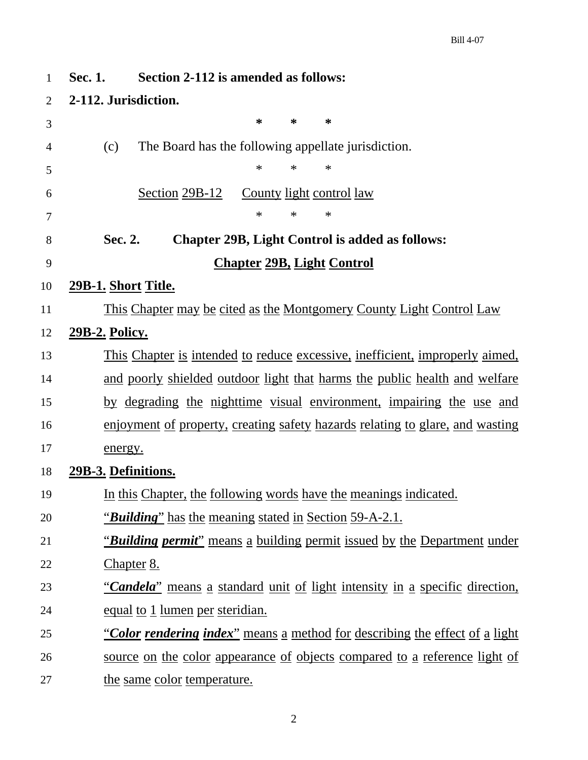| $\mathbf{1}$   | Section 2-112 is amended as follows:<br>Sec. 1.                                      |
|----------------|--------------------------------------------------------------------------------------|
| $\overline{2}$ | 2-112. Jurisdiction.                                                                 |
| 3              | ∗<br>∗<br>∗                                                                          |
| 4              | The Board has the following appellate jurisdiction.<br>(c)                           |
| 5              | $\ast$<br>$\ast$<br>$\ast$                                                           |
| 6              | Section 29B-12<br><u>County light control law</u>                                    |
| 7              | $\ast$<br>$\ast$<br>$\ast$                                                           |
| 8              | <b>Chapter 29B, Light Control is added as follows:</b><br>Sec. 2.                    |
| 9              | <b>Chapter 29B, Light Control</b>                                                    |
| 10             | <u> 29B-1. Short Title.</u>                                                          |
| 11             | This Chapter may be cited as the Montgomery County Light Control Law                 |
| 12             | <u>29B-2. Policy.</u>                                                                |
| 13             | <u>This Chapter is intended to reduce excessive, inefficient, improperly aimed,</u>  |
| 14             | and poorly shielded outdoor light that harms the public health and welfare           |
| 15             | by degrading the nighttime visual environment, impairing the use and                 |
| 16             | <u>enjoyment of property, creating safety hazards relating to glare, and wasting</u> |
| 17             | energy.                                                                              |
| 18             | 29B-3. Definitions.                                                                  |
| 19             | In this Chapter, the following words have the meanings indicated.                    |
| 20             | <i>"Building"</i> has the meaning stated in Section 59-A-2.1.                        |
| 21             | "Building permit" means a building permit issued by the Department under             |
| 22             | Chapter 8.                                                                           |
| 23             | "Candela" means a standard unit of light intensity in a specific direction,          |
| 24             | <u>equal to 1 lumen per steridian.</u>                                               |
| 25             | <u>"Color rendering index" means a method for describing the effect of a light</u>   |
| 26             | <u>source on the color appearance of objects compared to a reference light of</u>    |
| 27             | the same color temperature.                                                          |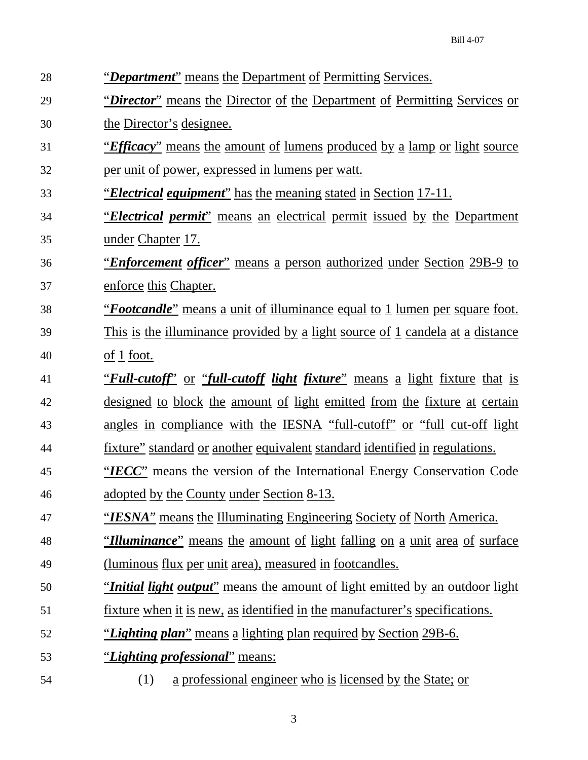| 28 | "Department" means the Department of Permitting Services.                                   |
|----|---------------------------------------------------------------------------------------------|
| 29 | "Director" means the Director of the Department of Permitting Services or                   |
| 30 | <u>the Director's designee.</u>                                                             |
| 31 | <u>"Efficacy" means the amount of lumens produced by a lamp or light source</u>             |
| 32 | per unit of power, expressed in lumens per watt.                                            |
| 33 | <u>"Electrical equipment" has the meaning stated in Section 17-11.</u>                      |
| 34 | <i><u>"Electrical permit"</u></i> means an electrical permit issued by the Department       |
| 35 | <u>under Chapter</u> 17.                                                                    |
| 36 | <i><u>'Enforcement officer''</u></i> means a person authorized under Section 29B-9 to       |
| 37 | enforce this Chapter.                                                                       |
| 38 | <u>"Footcandle" means a unit of illuminance equal to 1 lumen per square foot.</u>           |
| 39 | <u>This is the illuminance provided by a light source of 1 candela at a distance</u>        |
| 40 | $\underline{\mathrm{of}}$ 1 foot.                                                           |
| 41 | <u>"Full-cutoff" or "full-cutoff light fixture" means a light fixture that is</u>           |
| 42 | designed to block the amount of light emitted from the fixture at certain                   |
| 43 | angles in compliance with the IESNA "full-cutoff" or "full cut-off light                    |
| 44 | <u>fixture" standard or another equivalent standard identified in regulations.</u>          |
| 45 | "IECC" means the version of the International Energy Conservation Code                      |
| 46 | adopted by the County under Section 8-13.                                                   |
| 47 | <u>"IESNA" means the Illuminating Engineering Society of North America.</u>                 |
| 48 | <i>"Illuminance</i> " means the amount of light falling on a unit area of surface           |
| 49 | <u>(luminous flux per unit area), measured in footcandles.</u>                              |
| 50 | <i><u>'Initial light output'' means the amount of light emitted by an outdoor light</u></i> |
| 51 | <u>fixture when it is new, as identified in the manufacturer's specifications.</u>          |
| 52 | " <i>Lighting plan</i> " means a lighting plan required by Section 29B-6.                   |
| 53 | "Lighting professional" means:                                                              |
| 54 | a professional engineer who is licensed by the State; or<br>(1)                             |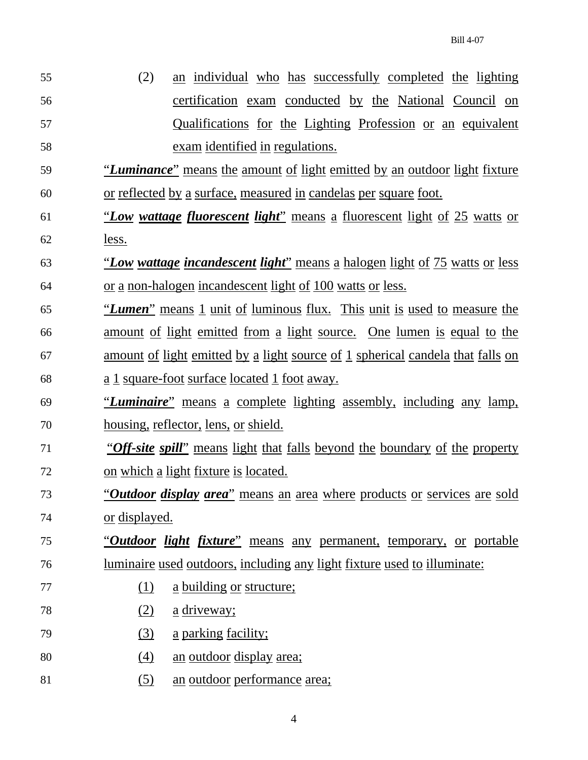| 55 | an individual who has successfully completed the lighting<br>(2)                      |  |  |  |  |  |  |  |
|----|---------------------------------------------------------------------------------------|--|--|--|--|--|--|--|
| 56 | certification exam conducted by the National Council on                               |  |  |  |  |  |  |  |
| 57 | Qualifications for the Lighting Profession or an equivalent                           |  |  |  |  |  |  |  |
| 58 | exam identified in regulations.                                                       |  |  |  |  |  |  |  |
| 59 | <u>"Luminance" means the amount of light emitted by an outdoor light fixture</u>      |  |  |  |  |  |  |  |
| 60 | <u>or reflected by a surface, measured in candelas per square foot.</u>               |  |  |  |  |  |  |  |
| 61 | "Low wattage fluorescent light" means a fluorescent light of 25 watts or              |  |  |  |  |  |  |  |
| 62 | less.                                                                                 |  |  |  |  |  |  |  |
| 63 | <u>"Low wattage incandescent light" means a halogen light of 75 watts or less</u>     |  |  |  |  |  |  |  |
| 64 | <u>or a non-halogen incandescent light of 100 watts or less.</u>                      |  |  |  |  |  |  |  |
| 65 | <u>"Lumen" means 1 unit of luminous flux. This unit is used to measure the</u>        |  |  |  |  |  |  |  |
| 66 | amount of light emitted from a light source. One lumen is equal to the                |  |  |  |  |  |  |  |
| 67 | <u>amount of light emitted by a light source of 1 spherical candela that falls on</u> |  |  |  |  |  |  |  |
| 68 | <u>a 1 square-foot surface located 1 foot away.</u>                                   |  |  |  |  |  |  |  |
| 69 | <u>"Luminaire" means a complete lighting assembly, including any lamp,</u>            |  |  |  |  |  |  |  |
| 70 | <u>housing, reflector, lens, or shield.</u>                                           |  |  |  |  |  |  |  |
| 71 | "Off-site spill" means light that falls beyond the boundary of the property           |  |  |  |  |  |  |  |
| 72 | <u>on which a light fixture is located.</u>                                           |  |  |  |  |  |  |  |
| 73 | " <i>Outdoor display area</i> " means an area where products or services are sold     |  |  |  |  |  |  |  |
| 74 | <u>or</u> displayed.                                                                  |  |  |  |  |  |  |  |
| 75 | <u>"Outdoor light fixture" means any permanent, temporary, or portable</u>            |  |  |  |  |  |  |  |
| 76 | <u>luminaire used outdoors, including any light fixture used to illuminate:</u>       |  |  |  |  |  |  |  |
| 77 | a building or structure;<br>(1)                                                       |  |  |  |  |  |  |  |
| 78 | (2)<br><u>a</u> driveway;                                                             |  |  |  |  |  |  |  |
| 79 | a parking facility;<br>(3)                                                            |  |  |  |  |  |  |  |
| 80 | an outdoor display area;<br>(4)                                                       |  |  |  |  |  |  |  |
| 81 | an outdoor performance area;<br>(5)                                                   |  |  |  |  |  |  |  |
|    |                                                                                       |  |  |  |  |  |  |  |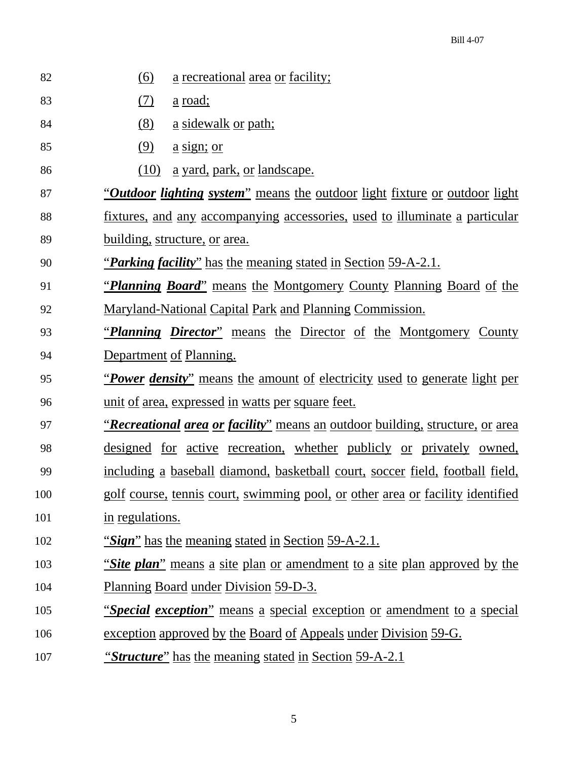| 82  | <u>(6)</u><br>a recreational area or facility;                                              |
|-----|---------------------------------------------------------------------------------------------|
| 83  | <u>(7)</u><br><u>a road;</u>                                                                |
| 84  | (8)<br><u>a sidewalk or path;</u>                                                           |
| 85  | (9)<br><u>a sign; or</u>                                                                    |
| 86  | (10)<br><u>a yard, park, or landscape.</u>                                                  |
| 87  | <i><u>"Outdoor lighting system"</u></i> means the outdoor light fixture or outdoor light    |
| 88  | <u>fixtures, and any accompanying accessories, used to illuminate a particular</u>          |
| 89  | <u>building, structure, or area.</u>                                                        |
| 90  | <u>"Parking facility" has the meaning stated in Section 59-A-2.1.</u>                       |
| 91  | <i><u>'Planning Board'' means the Montgomery County Planning Board of the</u></i>           |
| 92  | <u>Maryland-National Capital Park and Planning Commission.</u>                              |
| 93  | <i>Planning Director</i> " means the Director of the Montgomery County                      |
| 94  | Department of Planning.                                                                     |
|     |                                                                                             |
| 95  | <i><u>Power density"</u></i> means the amount of electricity used to generate light per     |
| 96  | <u>unit of area, expressed in watts per square feet.</u>                                    |
| 97  | <i><u>'Recreational area or facility"</u></i> means an outdoor building, structure, or area |
| 98  | <u>designed for active recreation, whether publicly or privately owned,</u>                 |
| 99  | including a baseball diamond, basketball court, soccer field, football field,               |
| 100 | golf course, tennis court, swimming pool, or other area or facility identified              |
| 101 | in regulations.                                                                             |
| 102 | "Sign" has the meaning stated in Section 59-A-2.1.                                          |
| 103 | "Site plan" means a site plan or amendment to a site plan approved by the                   |
| 104 | Planning Board under Division 59-D-3.                                                       |
| 105 | <i>"Special exception"</i> means a special exception or amendment to a special              |
| 106 | exception approved by the Board of Appeals under Division 59-G.                             |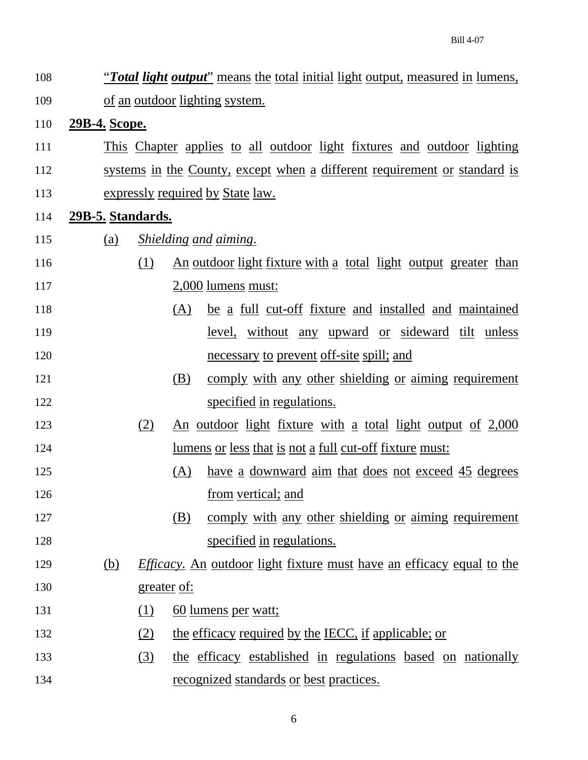108 "*Total light output*" means the total initial light output, measured in lumens, 109 of an outdoor lighting system. 110 **29B-4. Scope.** 111 This Chapter applies to all outdoor light fixtures and outdoor lighting 112 systems in the County, except when a different requirement or standard is 113 expressly required by State law. 114 **29B-5. Standards.** 115 (a) *Shielding and aiming*. 116 (1) An outdoor light fixture with a total light output greater than 117 2,000 lumens must: 118 (A) be a full cut-off fixture and installed and maintained 119 level, without any upward or sideward tilt unless 120 necessary to prevent off-site spill; and 121 (B) comply with any other shielding or aiming requirement 122 specified in regulations. 123 (2) An outdoor light fixture with a total light output of 2,000 124 lumens or less that is not a full cut-off fixture must: 125 (A) have a downward aim that does not exceed 45 degrees 126 from vertical; and 127 (B) comply with any other shielding or aiming requirement 128 specified in regulations. 129 (b) *Efficacy.* An outdoor light fixture must have an efficacy equal to the 130 greater of: 131 (1) 60 lumens per watt; 132 (2) the efficacy required by the IECC, if applicable; or 133 (3) the efficacy established in regulations based on nationally 134 recognized standards or best practices.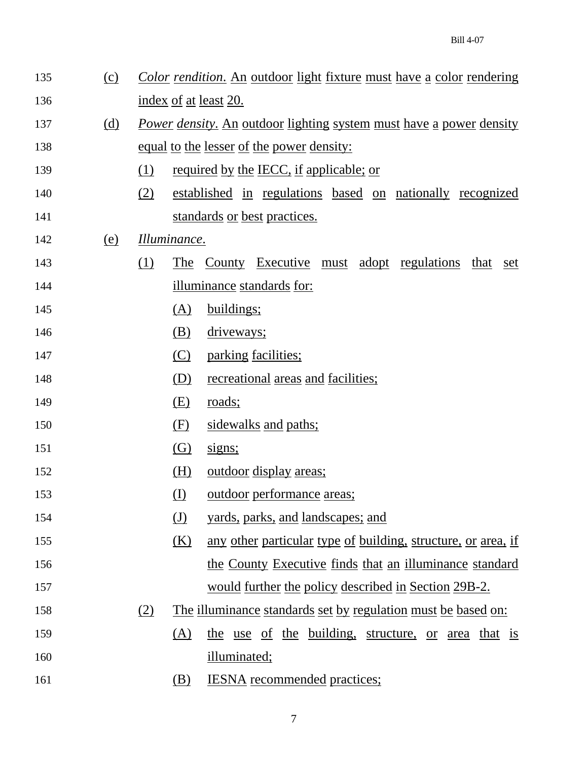| 135 | $\Omega$   |     |              | Color rendition. An outdoor light fixture must have a color rendering      |
|-----|------------|-----|--------------|----------------------------------------------------------------------------|
| 136 |            |     |              | index of at least 20.                                                      |
| 137 | <u>(d)</u> |     |              | <u>Power density. An outdoor lighting system must have a power density</u> |
| 138 |            |     |              | <u>equal to the lesser of the power density:</u>                           |
| 139 |            | (1) |              | required by the IECC, if applicable; or                                    |
| 140 |            | (2) |              | established in regulations based on nationally recognized                  |
| 141 |            |     |              | standards or best practices.                                               |
| 142 | <u>(e)</u> |     | Illuminance. |                                                                            |
| 143 |            | (1) | The          | <u>County Executive must adopt regulations</u><br>that set                 |
| 144 |            |     |              | <u>illuminance standards for:</u>                                          |
| 145 |            |     | (A)          | buildings;                                                                 |
| 146 |            |     | (B)          | driveways;                                                                 |
| 147 |            |     | (C)          | parking facilities;                                                        |
| 148 |            |     | (D)          | <u>recreational</u> areas and facilities;                                  |
| 149 |            |     | (E)          | <u>roads;</u>                                                              |
| 150 |            |     | (F)          | sidewalks and paths;                                                       |
| 151 |            |     | (G)          | signs;                                                                     |
| 152 |            |     | (H)          | <u>outdoor</u> display areas;                                              |
| 153 |            |     | (I)          | <u>outdoor</u> performance areas;                                          |
| 154 |            |     | (J)          | yards, parks, and landscapes; and                                          |
| 155 |            |     | (K)          | any other particular type of building, structure, or area, if              |
| 156 |            |     |              | the County Executive finds that an illuminance standard                    |
| 157 |            |     |              | would further the policy described in Section 29B-2.                       |
| 158 |            | (2) |              | <u>The illuminance standards set by regulation must be based on:</u>       |
| 159 |            |     | (A)          | the use of the building, structure, or area that is                        |
| 160 |            |     |              | illuminated;                                                               |
| 161 |            |     | (B)          | <b>IESNA</b> recommended practices;                                        |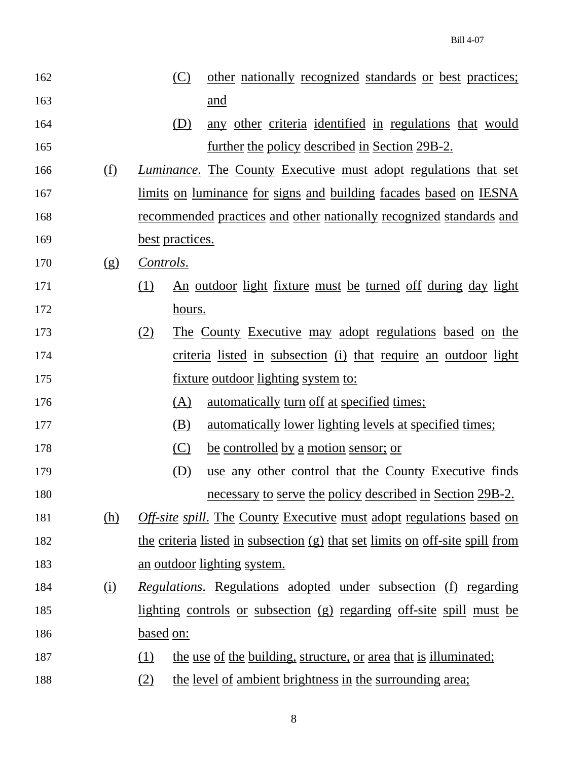162 (C) other nationally recognized standards or best practices; 163 and 164 (D) any other criteria identified in regulations that would 165 **further the policy described in Section 29B-2.** 166 (f) *Luminance*. The County Executive must adopt regulations that set 167 limits on luminance for signs and building facades based on IESNA 168 recommended practices and other nationally recognized standards and 169 best practices. 170 (g) *Controls*. 171 (1) An outdoor light fixture must be turned off during day light 172 hours. 173 (2) The County Executive may adopt regulations based on the 174 criteria listed in subsection (i) that require an outdoor light 175 **fixture outdoor lighting system to:** 176 (A) automatically turn off at specified times; 177 (B) automatically lower lighting levels at specified times; 178 (C) be controlled by a motion sensor; or 179 (D) use any other control that the County Executive finds 180 necessary to serve the policy described in Section 29B-2. 181 (h) *Off-site spill*. The County Executive must adopt regulations based on 182 the criteria listed in subsection (g) that set limits on off-site spill from 183 an outdoor lighting system. 184 (i) *Regulations*. Regulations adopted under subsection (f) regarding 185 lighting controls or subsection (g) regarding off-site spill must be 186 based on: 187 (1) the use of the building, structure, or area that is illuminated; 188 (2) the level of ambient brightness in the surrounding area;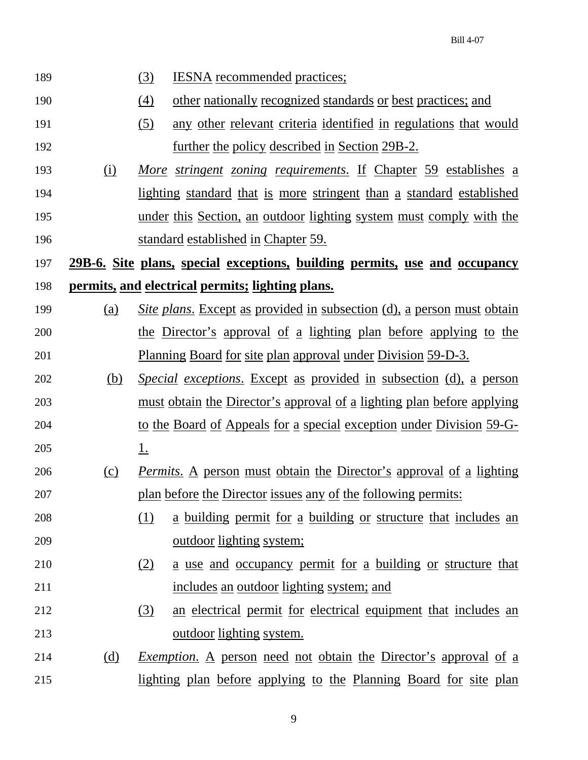| 189 |            | $\left(3\right)$<br><b>IESNA</b> recommended practices;                          |
|-----|------------|----------------------------------------------------------------------------------|
| 190 |            | $\left(4\right)$<br>other nationally recognized standards or best practices; and |
| 191 |            | any other relevant criteria identified in regulations that would<br>(5)          |
| 192 |            | <u>further the policy described in Section 29B-2.</u>                            |
| 193 | $\Omega$   | More stringent zoning requirements. If Chapter 59 establishes a                  |
| 194 |            | <u>lighting standard that is more stringent than a standard established</u>      |
| 195 |            | under this Section, an outdoor lighting system must comply with the              |
| 196 |            | standard established in Chapter 59.                                              |
| 197 |            | 29B-6. Site plans, special exceptions, building permits, use and occupancy       |
| 198 |            | permits, and electrical permits; lighting plans.                                 |
| 199 | (a)        | <u>Site plans. Except as provided in subsection (d), a person must obtain</u>    |
| 200 |            | the Director's approval of a lighting plan before applying to the                |
| 201 |            | <u>Planning Board for site plan approval under Division 59-D-3.</u>              |
| 202 | <u>(b)</u> | <i>Special exceptions.</i> Except as provided in subsection (d), a person        |
| 203 |            | <u>must obtain the Director's approval of a lighting plan before applying</u>    |
| 204 |            | to the Board of Appeals for a special exception under Division 59-G-             |
| 205 |            | <u>1.</u>                                                                        |
| 206 | (c)        | <u>Permits. A person must obtain the Director's approval of a lighting</u>       |
| 207 |            | plan before the Director issues any of the following permits:                    |
| 208 |            | <u>a building permit for a building or structure that includes an</u><br>(1)     |
| 209 |            | <u>outdoor</u> lighting system;                                                  |
| 210 |            | <u>a use and occupancy permit for a building or structure that</u><br>(2)        |
| 211 |            | includes an outdoor lighting system; and                                         |
| 212 |            | (3)<br>an electrical permit for electrical equipment that includes an            |
| 213 |            | <u>outdoor</u> lighting system.                                                  |
| 214 | (d)        | <i>Exemption.</i> A person need not obtain the Director's approval of a          |
| 215 |            | lighting plan before applying to the Planning Board for site plan                |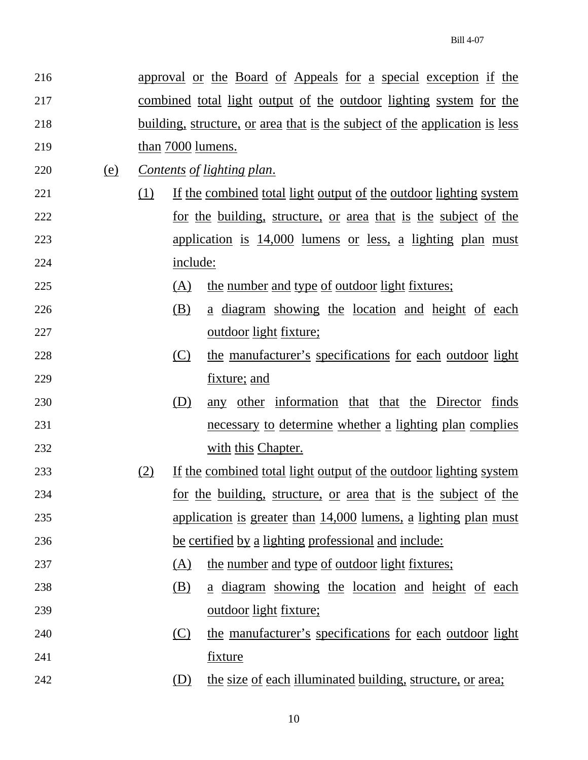| 216 |     |     |          | approval or the Board of Appeals for a special exception if the                    |
|-----|-----|-----|----------|------------------------------------------------------------------------------------|
| 217 |     |     |          | <u>combined total light output of the outdoor lighting system for the</u>          |
| 218 |     |     |          | <u>building, structure, or area that is the subject of the application is less</u> |
| 219 |     |     |          | than 7000 lumens.                                                                  |
| 220 | (e) |     |          | <u>Contents of lighting plan.</u>                                                  |
| 221 |     | (1) |          | <u>If the combined total light output of the outdoor lighting system</u>           |
| 222 |     |     |          | <u>for the building, structure, or area that is the subject of the</u>             |
| 223 |     |     |          | <u>application is 14,000 lumens or less, a lighting plan must</u>                  |
| 224 |     |     | include: |                                                                                    |
| 225 |     |     | (A)      | <u>the number and type of outdoor light fixtures;</u>                              |
| 226 |     |     | (B)      | <u>a diagram showing the location and height of each</u>                           |
| 227 |     |     |          | outdoor light fixture;                                                             |
| 228 |     |     | (C)      | the manufacturer's specifications for each outdoor light                           |
| 229 |     |     |          | fixture; and                                                                       |
| 230 |     |     | (D)      | any other information that that the Director<br>finds                              |
| 231 |     |     |          | necessary to determine whether a lighting plan complies                            |
| 232 |     |     |          | with this Chapter.                                                                 |
| 233 |     | (2) |          | If the combined total light output of the outdoor lighting system                  |
| 234 |     |     |          | for the building, structure, or area that is the subject of the                    |
| 235 |     |     |          | application is greater than 14,000 lumens, a lighting plan must                    |
| 236 |     |     |          | be certified by a lighting professional and include:                               |
| 237 |     |     | (A)      | the number and type of outdoor light fixtures;                                     |
| 238 |     |     | (B)      | a diagram showing the location and height of each                                  |
| 239 |     |     |          | <u>outdoor light fixture;</u>                                                      |
| 240 |     |     | (C)      | the manufacturer's specifications for each outdoor light                           |
| 241 |     |     |          | <u>fixture</u>                                                                     |
| 242 |     |     | (D)      | the size of each illuminated building, structure, or area;                         |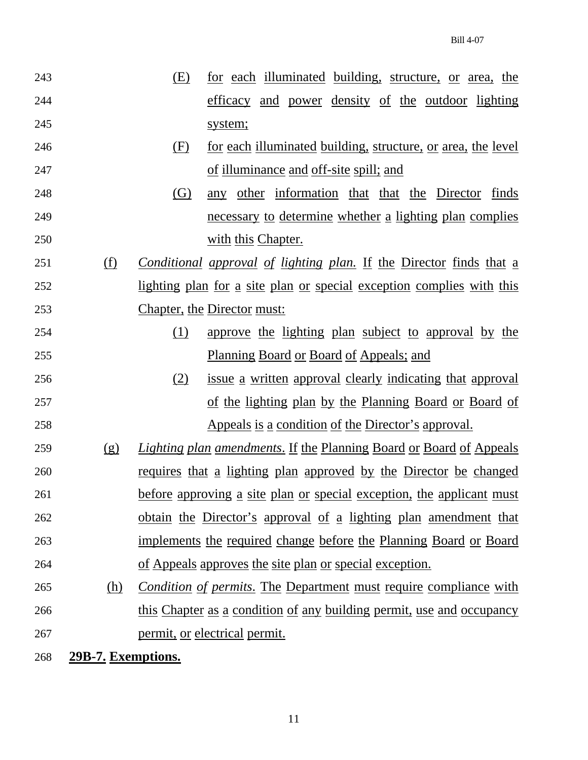| 243 | (E) | for each illuminated building, structure, or area, the |
|-----|-----|--------------------------------------------------------|
| 244 |     | efficacy and power density of the outdoor lighting     |
| 245 |     | system;                                                |
|     |     |                                                        |

- 246 (F) for each illuminated building, structure, or area, the level 247 of illuminance and off-site spill; and
- 248 (G) any other information that that the Director finds 249 necessary to determine whether a lighting plan complies 250 with this Chapter.
- 251 (f) *Conditional approval of lighting plan.* If the Director finds that a 252 lighting plan for a site plan or special exception complies with this 253 Chapter, the Director must:
- 254 (1) approve the lighting plan subject to approval by the 255 Planning Board or Board of Appeals; and
- 256 (2) issue a written approval clearly indicating that approval 257 of the lighting plan by the Planning Board or Board of 258 Appeals is a condition of the Director's approval.
- 259 (g) *Lighting plan amendments*. If the Planning Board or Board of Appeals 260 requires that a lighting plan approved by the Director be changed 261 before approving a site plan or special exception, the applicant must 262 obtain the Director's approval of a lighting plan amendment that 263 implements the required change before the Planning Board or Board 264 of Appeals approves the site plan or special exception.
- 265 (h) *Condition of permits*. The Department must require compliance with 266 this Chapter as a condition of any building permit, use and occupancy 267 permit, or electrical permit.

268 **29B-7. Exemptions.**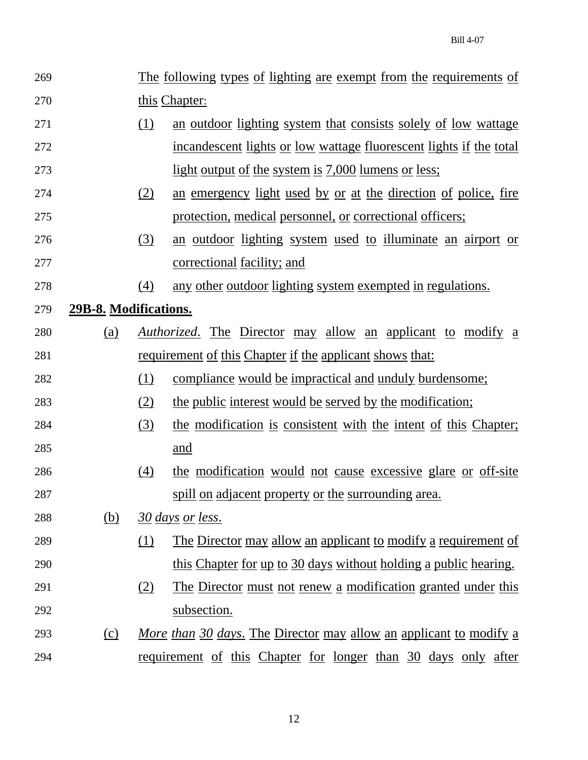| 269 |                       |                                                                                   | The following types of lighting are exempt from the requirements of       |  |  |  |
|-----|-----------------------|-----------------------------------------------------------------------------------|---------------------------------------------------------------------------|--|--|--|
| 270 |                       | this Chapter:                                                                     |                                                                           |  |  |  |
| 271 |                       | $\Omega$<br>an <u>outdoor</u> lighting system that consists solely of low wattage |                                                                           |  |  |  |
| 272 |                       |                                                                                   | <u>incandescent lights or low wattage fluorescent lights if the total</u> |  |  |  |
| 273 |                       |                                                                                   | <u>light output of the system is 7,000 lumens or less;</u>                |  |  |  |
| 274 |                       | (2)                                                                               | an emergency light used by or at the direction of police, fire            |  |  |  |
| 275 |                       |                                                                                   | protection, medical personnel, or correctional officers;                  |  |  |  |
| 276 |                       | (3)                                                                               | an <u>outdoor</u> lighting system used to illuminate an airport or        |  |  |  |
| 277 |                       |                                                                                   | <u>correctional</u> facility; and                                         |  |  |  |
| 278 |                       | (4)                                                                               | any other outdoor lighting system exempted in regulations.                |  |  |  |
| 279 | 29B-8. Modifications. |                                                                                   |                                                                           |  |  |  |
| 280 | <u>(a)</u>            |                                                                                   | <i><u>Authorized.</u></i> The Director may allow an applicant to modify a |  |  |  |
| 281 |                       |                                                                                   | <u>requirement of this Chapter if the applicant shows that:</u>           |  |  |  |
| 282 |                       | <u>(1)</u>                                                                        | <u>compliance would be impractical and unduly burdensome;</u>             |  |  |  |
| 283 |                       | (2)                                                                               | the public interest would be served by the modification;                  |  |  |  |
| 284 |                       | (3)                                                                               | the modification is consistent with the intent of this Chapter;           |  |  |  |
| 285 |                       |                                                                                   | and                                                                       |  |  |  |
| 286 |                       | $\left(4\right)$                                                                  | the modification would not cause excessive glare or off-site              |  |  |  |
| 287 |                       |                                                                                   | spill on adjacent property or the surrounding area.                       |  |  |  |
| 288 | <u>(b)</u>            |                                                                                   | 30 days or less.                                                          |  |  |  |
| 289 |                       | (1)                                                                               | <u>The Director may allow an applicant to modify a requirement of</u>     |  |  |  |
| 290 |                       |                                                                                   | this Chapter for up to 30 days without holding a public hearing.          |  |  |  |
| 291 |                       | (2)                                                                               | The Director must not renew a modification granted under this             |  |  |  |
| 292 |                       |                                                                                   | subsection.                                                               |  |  |  |
| 293 | <u>(c)</u>            |                                                                                   | <u>More than 30 days. The Director may allow an applicant to modify a</u> |  |  |  |
| 294 |                       |                                                                                   | requirement of this Chapter for longer than 30 days only after            |  |  |  |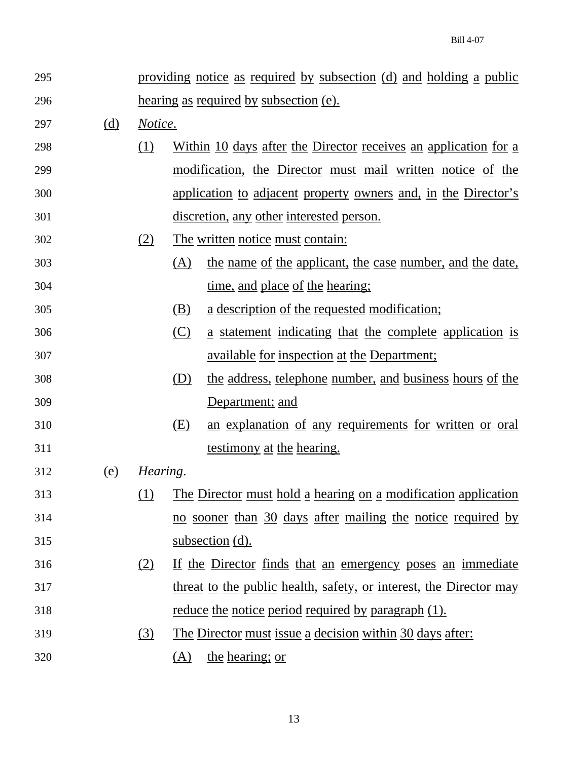| 295 |            | providing notice as required by subsection (d) and holding a public |     |                                                                       |
|-----|------------|---------------------------------------------------------------------|-----|-----------------------------------------------------------------------|
| 296 |            | hearing as required by subsection (e).                              |     |                                                                       |
| 297 | <u>(d)</u> | Notice.                                                             |     |                                                                       |
| 298 |            | <u>(1)</u>                                                          |     | Within 10 days after the Director receives an application for a       |
| 299 |            |                                                                     |     | <u>modification, the Director must mail written notice of the</u>     |
| 300 |            |                                                                     |     | <u>application to adjacent property owners and, in the Director's</u> |
| 301 |            |                                                                     |     | discretion, any other interested person.                              |
| 302 |            | (2)                                                                 |     | The written notice must contain:                                      |
| 303 |            |                                                                     | (A) | the name of the applicant, the case number, and the date,             |
| 304 |            |                                                                     |     | time, and place of the hearing;                                       |
| 305 |            |                                                                     | (B) | <u>a description of the requested modification;</u>                   |
| 306 |            |                                                                     | (C) | a statement indicating that the complete application is               |
| 307 |            |                                                                     |     | <u>available for inspection at the Department;</u>                    |
| 308 |            |                                                                     | (D) | the address, telephone number, and business hours of the              |
| 309 |            |                                                                     |     | Department; and                                                       |
| 310 |            |                                                                     | (E) | an explanation of any requirements for written or oral                |
| 311 |            |                                                                     |     | testimony at the hearing.                                             |
| 312 | <u>(e)</u> | Hearing.                                                            |     |                                                                       |
| 313 |            | <u>(1)</u>                                                          |     | The Director must hold a hearing on a modification application        |
| 314 |            |                                                                     |     | no sooner than 30 days after mailing the notice required by           |
| 315 |            |                                                                     |     | subsection (d).                                                       |
| 316 |            | (2)                                                                 |     | If the Director finds that an emergency poses an immediate            |
| 317 |            |                                                                     |     | threat to the public health, safety, or interest, the Director may    |
| 318 |            |                                                                     |     | <u>reduce the notice period required by paragraph (1).</u>            |
| 319 |            | (3)                                                                 |     | The Director must issue a decision within 30 days after:              |
| 320 |            |                                                                     | (A) | the hearing; or                                                       |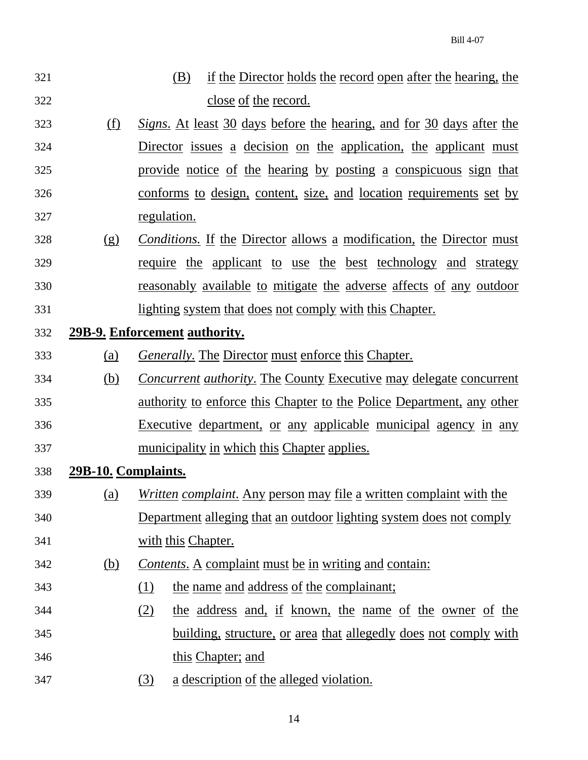- 321 (B) if the Director holds the record open after the hearing, the 322 close of the record.
- 323 (f) *Signs*. At least 30 days before the hearing, and for 30 days after the 324 Director issues a decision on the application, the applicant must 325 provide notice of the hearing by posting a conspicuous sign that 326 conforms to design, content, size, and location requirements set by 327 regulation.
- 328 (g) *Conditions.* If the Director allows a modification, the Director must 329 require the applicant to use the best technology and strategy 330 reasonably available to mitigate the adverse affects of any outdoor 331 lighting system that does not comply with this Chapter.
- 332 **29B-9. Enforcement authority.**
- 333 (a) *Generally.* The Director must enforce this Chapter.
- 334 (b) *Concurrent authority*. The County Executive may delegate concurrent 335 authority to enforce this Chapter to the Police Department, any other 336 Executive department, or any applicable municipal agency in any 337 municipality in which this Chapter applies.
- 338 **29B-10. Complaints.**
- 339 (a) *Written complaint*. Any person may file a written complaint with the 340 Department alleging that an outdoor lighting system does not comply 341 with this Chapter.
- 342 (b) *Contents*. A complaint must be in writing and contain:
- 343 (1) the name and address of the complainant;
- 344 (2) the address and, if known, the name of the owner of the 345 building, structure, or area that allegedly does not comply with 346 this Chapter; and
- 347 (3) a description of the alleged violation.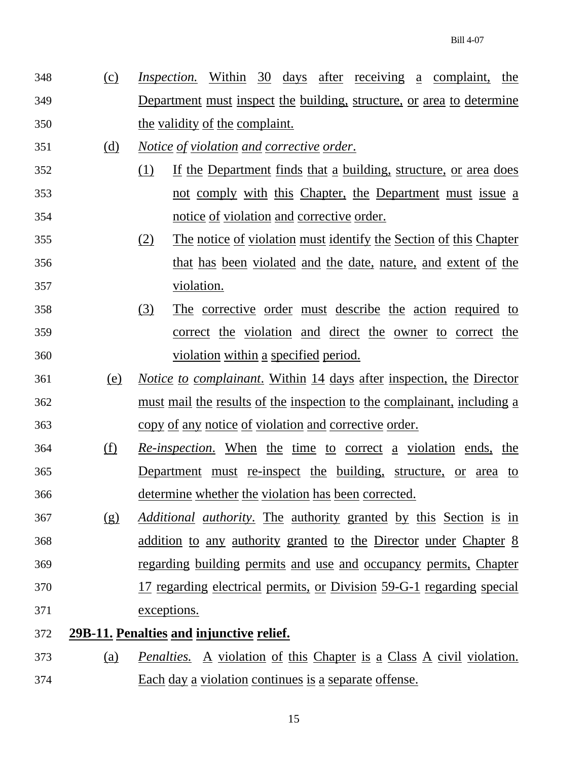- 348 (c) *Inspection.* Within 30 days after receiving a complaint, the 349 Department must inspect the building, structure, or area to determine 350 the validity of the complaint.
- 351 (d) *Notice of violation and corrective order*.
- 352 (1) If the Department finds that a building, structure, or area does 353 not comply with this Chapter, the Department must issue a 354 notice of violation and corrective order.
- 355 (2) The notice of violation must identify the Section of this Chapter 356 that has been violated and the date, nature, and extent of the 357 violation.
- 358 (3) The corrective order must describe the action required to 359 correct the violation and direct the owner to correct the 360 violation within a specified period.
- 361 (e) *Notice to complainant*. Within 14 days after inspection, the Director 362 must mail the results of the inspection to the complainant, including a 363 copy of any notice of violation and corrective order.
- 364 (f) *Re-inspection*. When the time to correct a violation ends, the 365 Department must re-inspect the building, structure, or area to 366 determine whether the violation has been corrected.
- 367 (g) *Additional authority*. The authority granted by this Section is in 368 addition to any authority granted to the Director under Chapter 8 369 regarding building permits and use and occupancy permits, Chapter 370 17 regarding electrical permits, or Division 59-G-1 regarding special 371 exceptions.
- 372 **29B-11. Penalties and injunctive relief.**
- 373 (a) *Penalties.* A violation of this Chapter is a Class A civil violation. 374 Each day a violation continues is a separate offense.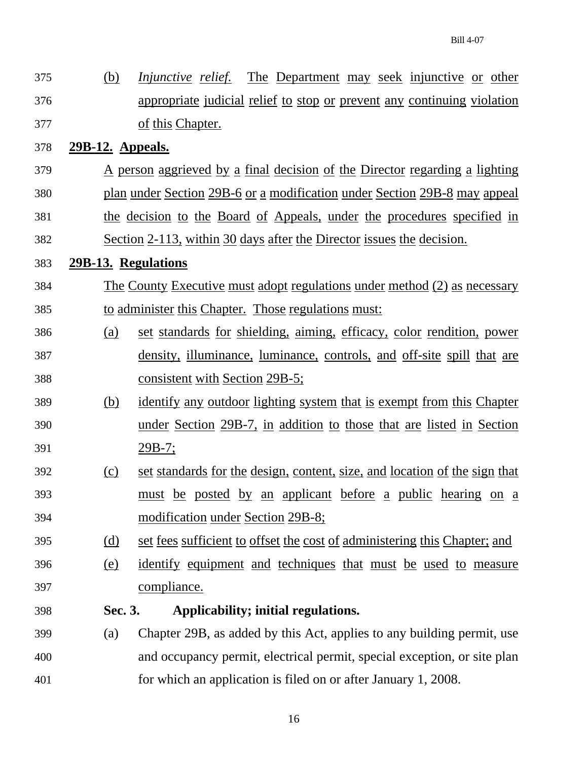375 (b) *Injunctive relief.* The Department may seek injunctive or other 376 appropriate judicial relief to stop or prevent any continuing violation 377 of this Chapter.

# 378 **29B-12. Appeals.**

- 379 A person aggrieved by a final decision of the Director regarding a lighting
- 380 plan under Section 29B-6 or a modification under Section 29B-8 may appeal
- 381 the decision to the Board of Appeals, under the procedures specified in 382 Section 2-113, within 30 days after the Director issues the decision.

## 383 **29B-13. Regulations**

- 384 The County Executive must adopt regulations under method (2) as necessary 385 to administer this Chapter. Those regulations must:
- 386 (a) set standards for shielding, aiming, efficacy, color rendition, power 387 density, illuminance, luminance, controls, and off-site spill that are 388 consistent with Section 29B-5;
- 389 (b) identify any outdoor lighting system that is exempt from this Chapter 390 under Section 29B-7, in addition to those that are listed in Section 391 29B-7;
- 392 (c) set standards for the design, content, size, and location of the sign that 393 must be posted by an applicant before a public hearing on a 394 modification under Section 29B-8;
- 395 (d) set fees sufficient to offset the cost of administering this Chapter; and
- 396 (e) identify equipment and techniques that must be used to measure 397 compliance.
	-

# 398 **Sec. 3. Applicability; initial regulations.**

399 (a) Chapter 29B, as added by this Act, applies to any building permit, use 400 and occupancy permit, electrical permit, special exception, or site plan 401 for which an application is filed on or after January 1, 2008.